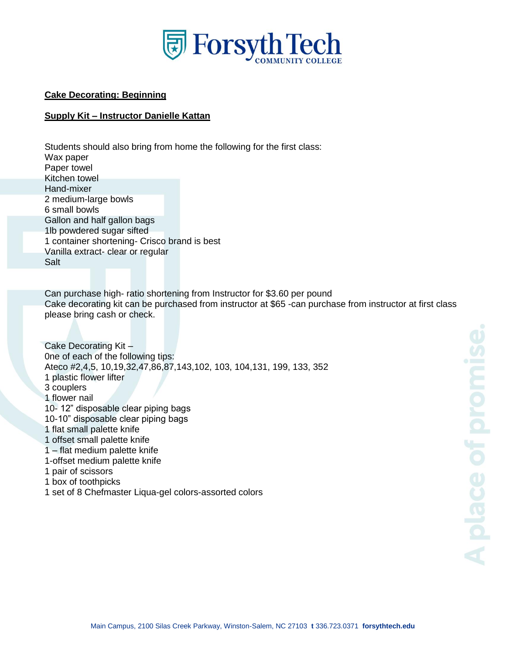

## **Cake Decorating: Beginning**

## **Supply Kit – Instructor Danielle Kattan**

Students should also bring from home the following for the first class: Wax paper Paper towel Kitchen towel Hand-mixer 2 medium-large bowls 6 small bowls Gallon and half gallon bags 1lb powdered sugar sifted 1 container shortening- Crisco brand is best Vanilla extract- clear or regular Salt

Can purchase high- ratio shortening from Instructor for \$3.60 per pound Cake decorating kit can be purchased from instructor at \$65 -can purchase from instructor at first class please bring cash or check.

```
Cake Decorating Kit –
0ne of each of the following tips:
Ateco #2,4,5, 10,19,32,47,86,87,143,102, 103, 104,131, 199, 133, 352
1 plastic flower lifter
3 couplers
1 flower nail
10- 12" disposable clear piping bags
10-10" disposable clear piping bags
1 flat small palette knife
1 offset small palette knife
1 – flat medium palette knife
1-offset medium palette knife
1 pair of scissors
1 box of toothpicks
1 set of 8 Chefmaster Liqua-gel colors-assorted colors
```
A place of promi